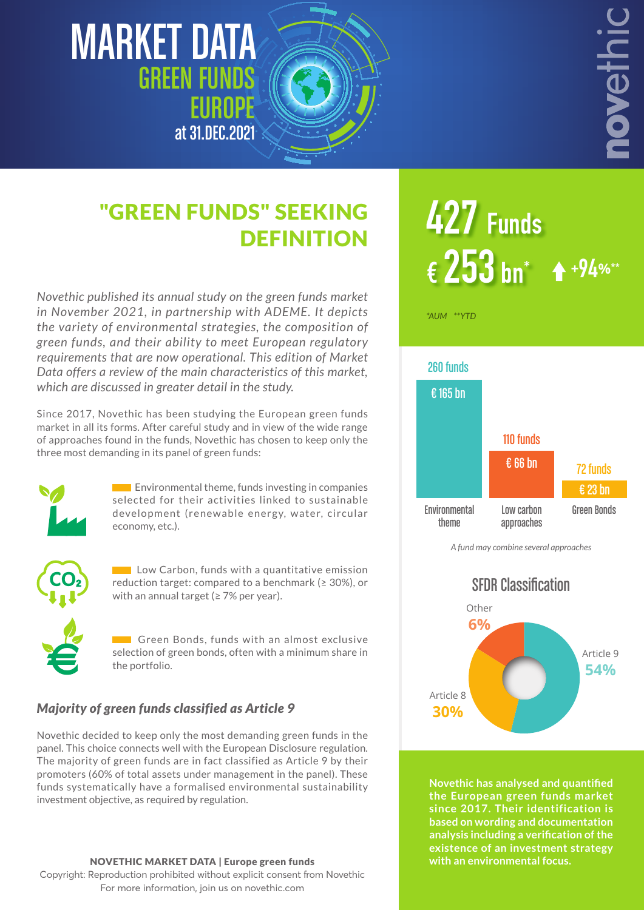# MARKET DATA GREEN FUNDS EUROPE at 31.DEC.2021



**DEFINITION** 

# $\epsilon$  253 bn<sup>\*</sup> **427 Funds <sup>+</sup>**94**%\*\***

noveth

*Novethic published its annual study on the green funds market in November 2021, in partnership with ADEME. It depicts the variety of environmental strategies, the composition of green funds, and their ability to meet European regulatory requirements that are now operational. This edition of Market Data offers a review of the main characteristics of this market, which are discussed in greater detail in the study.*

"GREEN FUNDS" SEEKING

Since 2017, Novethic has been studying the European green funds market in all its forms. After careful study and in view of the wide range of approaches found in the funds, Novethic has chosen to keep only the three most demanding in its panel of green funds:



 $\Box$  Environmental theme, funds investing in companies selected for their activities linked to sustainable development (renewable energy, water, circular economy, etc.).



**Low Carbon, funds with a quantitative emission** reduction target: compared to a benchmark ( $\geq$  30%), or with an annual target (≥ 7% per year).

Green Bonds, funds with an almost exclusive selection of green bonds, often with a minimum share in the portfolio.

#### *Majority of green funds classified as Article 9*

Novethic decided to keep only the most demanding green funds in the panel. This choice connects well with the European Disclosure regulation. The majority of green funds are in fact classified as Article 9 by their promoters (60% of total assets under management in the panel). These funds systematically have a formalised environmental sustainability investment objective, as required by regulation.

#### NOVETHIC MARKET DATA | Europe green funds

Copyright: Reproduction prohibited without explicit consent from Novethic For more information, join us on novethic.com

*\*AUM \*\*YTD*



*A fund may combine several approaches*



**Novethic has analysed and quantified the European green funds market since 2017. Their identification is based on wording and documentation analysis including a verification of the existence of an investment strategy with an environmental focus.**